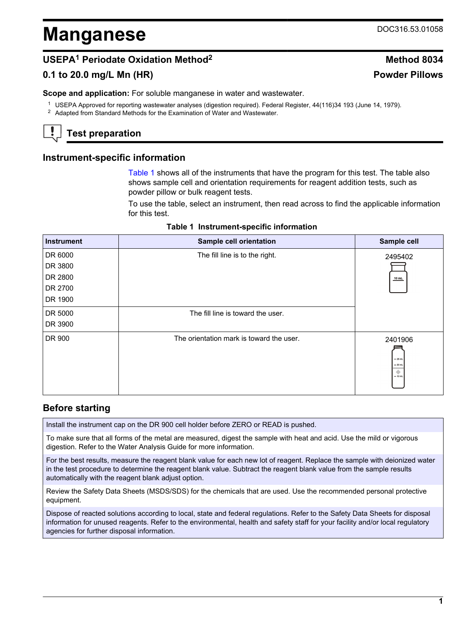# **Manganese** DOC316.53.01058

# **USEPA<sup>1</sup> Periodate Oxidation Method<sup>2</sup> Method 8034**

## **0.1 to 20.0 mg/L Mn (HR) Powder Pillows**

**Scope and application:** For soluble manganese in water and wastewater.

<sup>1</sup> USEPA Approved for reporting wastewater analyses (digestion required). Federal Register, 44(116)34 193 (June 14, 1979).

<sup>2</sup> Adapted from Standard Methods for the Examination of Water and Wastewater.

# **Test preparation**

## **Instrument-specific information**

[Table 1](#page-0-0) shows all of the instruments that have the program for this test. The table also shows sample cell and orientation requirements for reagent addition tests, such as powder pillow or bulk reagent tests.

To use the table, select an instrument, then read across to find the applicable information for this test.

|  | Table 1 Instrument-specific information |  |  |
|--|-----------------------------------------|--|--|
|--|-----------------------------------------|--|--|

<span id="page-0-1"></span><span id="page-0-0"></span>

| <b>Instrument</b> | <b>Sample cell orientation</b>           | Sample cell                                       |
|-------------------|------------------------------------------|---------------------------------------------------|
| DR 6000           | The fill line is to the right.           | 2495402                                           |
| DR 3800           |                                          |                                                   |
| DR 2800           |                                          | 10 mL                                             |
| DR 2700           |                                          |                                                   |
| DR 1900           |                                          |                                                   |
| DR 5000           | The fill line is toward the user.        |                                                   |
| DR 3900           |                                          |                                                   |
| DR 900            | The orientation mark is toward the user. | 2401906<br>$-25$ mL<br>$= 20$ mL<br>۰<br>$-10$ mL |

## **Before starting**

Install the instrument cap on the DR 900 cell holder before ZERO or READ is pushed.

To make sure that all forms of the metal are measured, digest the sample with heat and acid. Use the mild or vigorous digestion. Refer to the Water Analysis Guide for more information.

For the best results, measure the reagent blank value for each new lot of reagent. Replace the sample with deionized water in the test procedure to determine the reagent blank value. Subtract the reagent blank value from the sample results automatically with the reagent blank adjust option.

Review the Safety Data Sheets (MSDS/SDS) for the chemicals that are used. Use the recommended personal protective equipment.

Dispose of reacted solutions according to local, state and federal regulations. Refer to the Safety Data Sheets for disposal information for unused reagents. Refer to the environmental, health and safety staff for your facility and/or local regulatory agencies for further disposal information.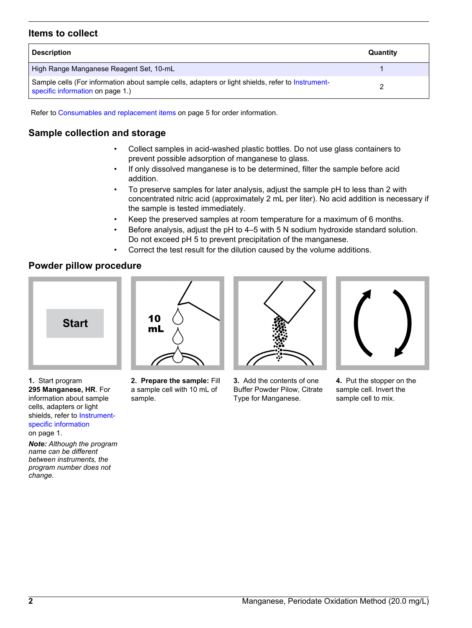## **Items to collect**

| <b>Description</b>                                                                                                                    | Quantity |
|---------------------------------------------------------------------------------------------------------------------------------------|----------|
| High Range Manganese Reagent Set, 10-mL                                                                                               |          |
| Sample cells (For information about sample cells, adapters or light shields, refer to Instrument-<br>specific information on page 1.) |          |

Refer to [Consumables and replacement items](#page-4-0) on page 5 for order information.

## **Sample collection and storage**

- Collect samples in acid-washed plastic bottles. Do not use glass containers to prevent possible adsorption of manganese to glass.
- If only dissolved manganese is to be determined, filter the sample before acid addition.
- To preserve samples for later analysis, adjust the sample pH to less than 2 with concentrated nitric acid (approximately 2 mL per liter). No acid addition is necessary if the sample is tested immediately.
- Keep the preserved samples at room temperature for a maximum of 6 months.
- Before analysis, adjust the pH to 4–5 with 5 N sodium hydroxide standard solution. Do not exceed pH 5 to prevent precipitation of the manganese.
- Correct the test result for the dilution caused by the volume additions.

## **Powder pillow procedure**



**1.** Start program **295 Manganese, HR**. For information about sample cells, adapters or light shields, refer to [Instrument](#page-0-1)[specific information](#page-0-1) on page 1.

*Note: Although the program name can be different between instruments, the program number does not change.*



**2. Prepare the sample:** Fill a sample cell with 10 mL of sample.



**3.** Add the contents of one Buffer Powder Pilow, Citrate Type for Manganese.



**4.** Put the stopper on the sample cell. Invert the sample cell to mix.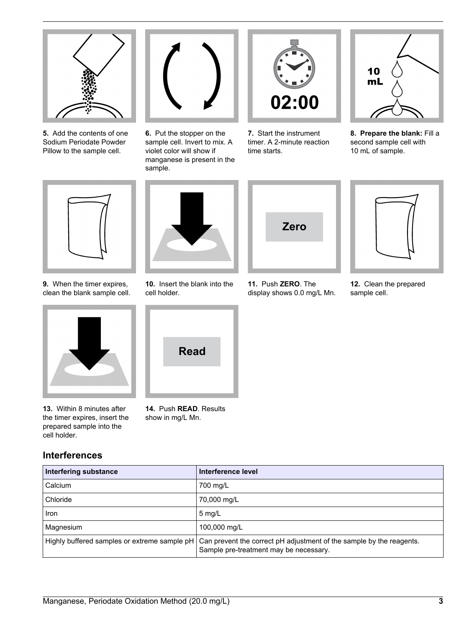

**5.** Add the contents of one Sodium Periodate Powder Pillow to the sample cell.



**6.** Put the stopper on the sample cell. Invert to mix. A violet color will show if manganese is present in the sample.



**7.** Start the instrument timer. A 2-minute reaction time starts.



**8. Prepare the blank:** Fill a second sample cell with 10 mL of sample.



**9.** When the timer expires, clean the blank sample cell.



**13.** Within 8 minutes after the timer expires, insert the prepared sample into the cell holder.

**Interferences**



**10.** Insert the blank into the cell holder.



**14.** Push **READ**. Results show in mg/L Mn.



**11.** Push **ZERO**. The display shows 0.0 mg/L Mn.

**12.** Clean the prepared sample cell.

| Interfering substance                        | Interference level                                                                                             |
|----------------------------------------------|----------------------------------------------------------------------------------------------------------------|
| Calcium                                      | 700 mg/L                                                                                                       |
| Chloride                                     | 70,000 mg/L                                                                                                    |
| <b>Iron</b>                                  | $5 \text{ mg/L}$                                                                                               |
| Magnesium                                    | 100,000 mg/L                                                                                                   |
| Highly buffered samples or extreme sample pH | Can prevent the correct pH adjustment of the sample by the reagents.<br>Sample pre-treatment may be necessary. |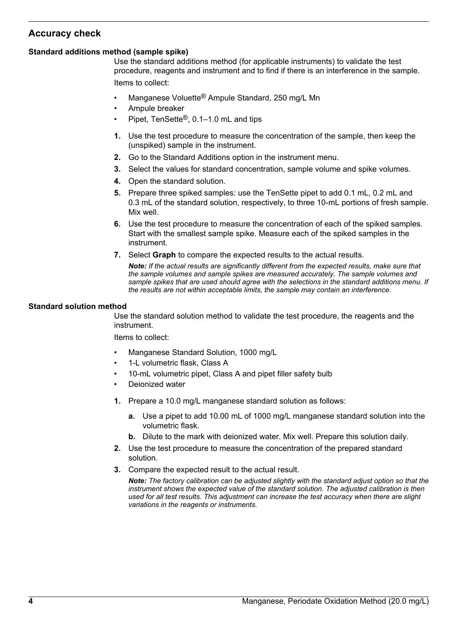# **Accuracy check**

#### **Standard additions method (sample spike)**

Use the standard additions method (for applicable instruments) to validate the test procedure, reagents and instrument and to find if there is an interference in the sample. Items to collect:

- Manganese Voluette<sup>®</sup> Ampule Standard, 250 mg/L Mn
- Ampule breaker
- Pipet, TenSette®, 0.1–1.0 mL and tips
- **1.** Use the test procedure to measure the concentration of the sample, then keep the (unspiked) sample in the instrument.
- **2.** Go to the Standard Additions option in the instrument menu.
- **3.** Select the values for standard concentration, sample volume and spike volumes.
- **4.** Open the standard solution.
- **5.** Prepare three spiked samples: use the TenSette pipet to add 0.1 mL, 0.2 mL and 0.3 mL of the standard solution, respectively, to three 10-mL portions of fresh sample. Mix well.
- **6.** Use the test procedure to measure the concentration of each of the spiked samples. Start with the smallest sample spike. Measure each of the spiked samples in the instrument.
- **7.** Select **Graph** to compare the expected results to the actual results.

*Note: If the actual results are significantly different from the expected results, make sure that the sample volumes and sample spikes are measured accurately. The sample volumes and sample spikes that are used should agree with the selections in the standard additions menu. If the results are not within acceptable limits, the sample may contain an interference.*

#### **Standard solution method**

Use the standard solution method to validate the test procedure, the reagents and the instrument.

Items to collect:

- Manganese Standard Solution, 1000 mg/L
- 1-L volumetric flask, Class A
- 10-mL volumetric pipet, Class A and pipet filler safety bulb
- Deionized water
- **1.** Prepare a 10.0 mg/L manganese standard solution as follows:
	- **a.** Use a pipet to add 10.00 mL of 1000 mg/L manganese standard solution into the volumetric flask.
	- **b.** Dilute to the mark with deionized water. Mix well. Prepare this solution daily.
- **2.** Use the test procedure to measure the concentration of the prepared standard solution.
- **3.** Compare the expected result to the actual result.

*Note: The factory calibration can be adjusted slightly with the standard adjust option so that the instrument shows the expected value of the standard solution. The adjusted calibration is then used for all test results. This adjustment can increase the test accuracy when there are slight variations in the reagents or instruments.*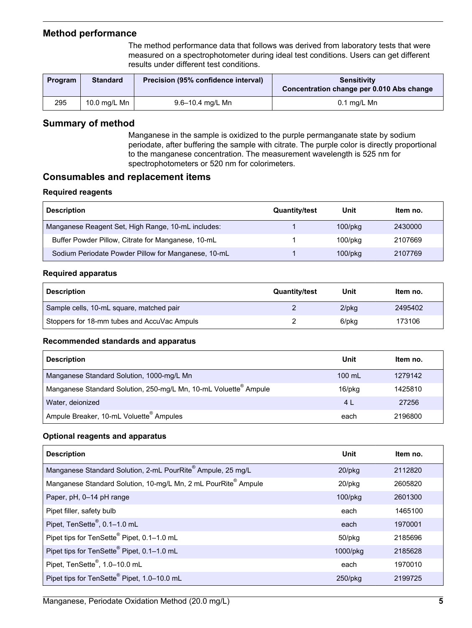## **Method performance**

The method performance data that follows was derived from laboratory tests that were measured on a spectrophotometer during ideal test conditions. Users can get different results under different test conditions.

<span id="page-4-0"></span>

| Program | <b>Standard</b> | Precision (95% confidence interval) | <b>Sensitivity</b><br>Concentration change per 0.010 Abs change |
|---------|-----------------|-------------------------------------|-----------------------------------------------------------------|
| 295     | 10.0 mg/L Mn    | 9.6–10.4 mg/L Mn                    | $0.1$ mg/L Mn                                                   |

## **Summary of method**

Manganese in the sample is oxidized to the purple permanganate state by sodium periodate, after buffering the sample with citrate. The purple color is directly proportional to the manganese concentration. The measurement wavelength is 525 nm for spectrophotometers or 520 nm for colorimeters.

## **Consumables and replacement items**

#### **Required reagents**

| <b>Description</b>                                  | <b>Quantity/test</b> | Unit          | Item no. |
|-----------------------------------------------------|----------------------|---------------|----------|
| Manganese Reagent Set, High Range, 10-mL includes:  |                      | $100$ /p $kg$ | 2430000  |
| Buffer Powder Pillow, Citrate for Manganese, 10-mL  |                      | $100$ /p $ka$ | 2107669  |
| Sodium Periodate Powder Pillow for Manganese, 10-mL |                      | $100$ /p $kg$ | 2107769  |

#### **Required apparatus**

| <b>Description</b>                          | <b>Quantity/test</b> | Unit     | ltem no. |
|---------------------------------------------|----------------------|----------|----------|
| Sample cells, 10-mL square, matched pair    |                      | $2$ /pkg | 2495402  |
| Stoppers for 18-mm tubes and AccuVac Ampuls |                      | 6/pkg    | 173106   |

#### **Recommended standards and apparatus**

| <b>Description</b>                                                           | Unit             | Item no. |
|------------------------------------------------------------------------------|------------------|----------|
| Manganese Standard Solution, 1000-mg/L Mn                                    | $100 \text{ mL}$ | 1279142  |
| Manganese Standard Solution, 250-mg/L Mn, 10-mL Voluette <sup>®</sup> Ampule | 16/pkg           | 1425810  |
| Water, deionized                                                             | 4 L              | 27256    |
| Ampule Breaker, 10-mL Voluette <sup>®</sup> Ampules                          | each             | 2196800  |

#### **Optional reagents and apparatus**

| <b>Description</b>                                                         | Unit          | ltem no. |
|----------------------------------------------------------------------------|---------------|----------|
| Manganese Standard Solution, 2-mL PourRite® Ampule, 25 mg/L                | 20/pkg        | 2112820  |
| Manganese Standard Solution, 10-mg/L Mn, 2 mL PourRite <sup>®</sup> Ampule | 20/pkg        | 2605820  |
| Paper, pH, 0-14 pH range                                                   | $100$ /p $kg$ | 2601300  |
| Pipet filler, safety bulb                                                  | each          | 1465100  |
| Pipet, TenSette <sup>®</sup> , 0.1-1.0 mL                                  | each          | 1970001  |
| Pipet tips for TenSette® Pipet, 0.1-1.0 mL                                 | 50/pkg        | 2185696  |
| Pipet tips for TenSette <sup>®</sup> Pipet, 0.1-1.0 mL                     | 1000/pkg      | 2185628  |
| Pipet, TenSette <sup>®</sup> , 1.0-10.0 mL                                 | each          | 1970010  |
| Pipet tips for TenSette <sup>®</sup> Pipet, 1.0-10.0 mL                    | $250$ /pkg    | 2199725  |